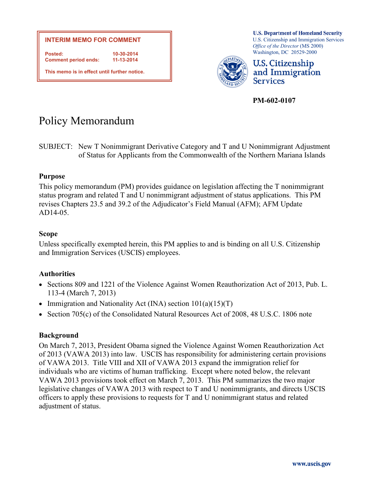

**U.S. Department of Homeland Security** U.S. Citizenship and Immigration Services *Office of the Director* (MS 2000) Washington, DC 20529-2000



**U.S. Citizenship** and Immigration **Services** 

**PM-602-0107**

# Policy Memorandum

SUBJECT: New T Nonimmigrant Derivative Category and T and U Nonimmigrant Adjustment of Status for Applicants from the Commonwealth of the Northern Mariana Islands

## **Purpose**

This policy memorandum (PM) provides guidance on legislation affecting the T nonimmigrant status program and related T and U nonimmigrant adjustment of status applications. This PM revises Chapters 23.5 and 39.2 of the Adjudicator's Field Manual (AFM); AFM Update AD14-05.

## **Scope**

Unless specifically exempted herein, this PM applies to and is binding on all U.S. Citizenship and Immigration Services (USCIS) employees.

# **Authorities**

- Sections 809 and 1221 of the Violence Against Women Reauthorization Act of 2013, Pub. L. 113-4 (March 7, 2013)
- Immigration and Nationality Act (INA) section  $101(a)(15)(T)$
- Section 705(c) of the Consolidated Natural Resources Act of 2008, 48 U.S.C. 1806 note

# **Background**

On March 7, 2013, President Obama signed the Violence Against Women Reauthorization Act of 2013 (VAWA 2013) into law. USCIS has responsibility for administering certain provisions of VAWA 2013. Title VIII and XII of VAWA 2013 expand the immigration relief for individuals who are victims of human trafficking. Except where noted below, the relevant VAWA 2013 provisions took effect on March 7, 2013. This PM summarizes the two major legislative changes of VAWA 2013 with respect to T and U nonimmigrants, and directs USCIS officers to apply these provisions to requests for T and U nonimmigrant status and related adjustment of status.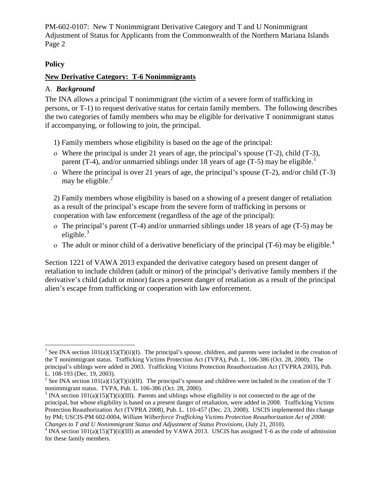## **Policy**

## **New Derivative Category: T-6 Nonimmigrants**

## A. *Background*

The INA allows a principal T nonimmigrant (the victim of a severe form of trafficking in persons, or T-1) to request derivative status for certain family members. The following describes the two categories of family members who may be eligible for derivative T nonimmigrant status if accompanying, or following to join, the principal.

- 1) Family members whose eligibility is based on the age of the principal:
- ο Where the principal is under 21 years of age, the principal's spouse (T-2), child (T-3), parent (T-4), and/or unmarried siblings under [1](#page-1-0)8 years of age (T-5) may be eligible.<sup>1</sup>
- ο Where the principal is over 21 years of age, the principal's spouse (T-2), and/or child (T-3) may be eligible. $<sup>2</sup>$  $<sup>2</sup>$  $<sup>2</sup>$ </sup>

2) Family members whose eligibility is based on a showing of a present danger of retaliation as a result of the principal's escape from the severe form of trafficking in persons or cooperation with law enforcement (regardless of the age of the principal):

- ο The principal's parent (T-4) and/or unmarried siblings under 18 years of age (T-5) may be eligible. [3](#page-1-2)
- o The adult or minor child of a derivative beneficiary of the principal  $(T-6)$  may be eligible.<sup>[4](#page-1-3)</sup>

Section 1221 of VAWA 2013 expanded the derivative category based on present danger of retaliation to include children (adult or minor) of the principal's derivative family members if the derivative's child (adult or minor) faces a present danger of retaliation as a result of the principal alien's escape from trafficking or cooperation with law enforcement.

<span id="page-1-0"></span><sup>&</sup>lt;sup>1</sup> See INA section  $101(a)(15)(T)(ii)(I)$ . The principal's spouse, children, and parents were included in the creation of the T nonimmigrant status. Trafficking Victims Protection Act (TVPA), Pub. L. 106-386 (Oct. 28, 2000). The principal's siblings were added in 2003. Trafficking Victims Protection Reauthorization Act (TVPRA 2003), Pub. L. 108-193 (Dec. 19, 2003).<br><sup>2</sup> See INA section 101(a)(15)(T)(ii)(II). The principal's spouse and children were included in the creation of the T

<span id="page-1-1"></span>nonimmigrant status. TVPA, Pub. L. 106-386 (Oct. 28, 2000).<br><sup>3</sup> INA section 101(a)(15)(T)(ii)(III). Parents and siblings whose eligibility is not connected to the age of the

<span id="page-1-2"></span>principal, but whose eligibility is based on a present danger of retaliation, were added in 2008. Trafficking Victims Protection Reauthorization Act (TVPRA 2008), Pub. L. 110-457 (Dec. 23, 2008). USCIS implemented this change by PM; USCIS-PM 602-0004, *William Wilberforce Trafficking Victims Protection Reauthorization Act of 2008:* 

<span id="page-1-3"></span><sup>&</sup>lt;sup>4</sup> INA section  $101(a)(15)(T)(ii)(III)$  as amended by VAWA 2013. USCIS has assigned T-6 as the code of admission for these family members.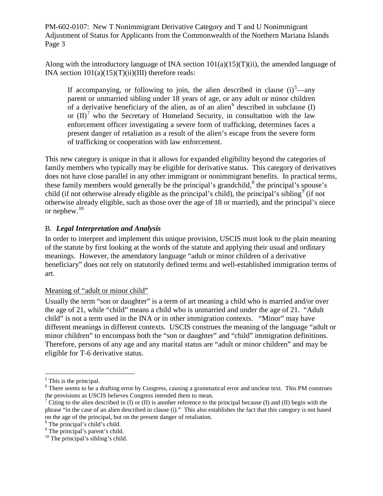Along with the introductory language of INA section  $101(a)(15)(T)(ii)$ , the amended language of INA section  $101(a)(15)(T)(ii)(III)$  therefore reads:

If accompanying, or following to join, the alien described in clause  $(i)^5$  $(i)^5$ —any parent or unmarried sibling under 18 years of age, or any adult or minor children of a derivative beneficiary of the alien, as of an alien<sup>[6](#page-2-1)</sup> described in subclause (I) or  $(II)^7$  $(II)^7$  who the Secretary of Homeland Security, in consultation with the law enforcement officer investigating a severe form of trafficking, determines faces a present danger of retaliation as a result of the alien's escape from the severe form of trafficking or cooperation with law enforcement.

This new category is unique in that it allows for expanded eligibility beyond the categories of family members who typically may be eligible for derivative status. This category of derivatives does not have close parallel in any other immigrant or nonimmigrant benefits. In practical terms, these family members would generally be the principal's grandchild,<sup>[8](#page-2-3)</sup> the principal's spouse's child (if not otherwise already eligible as the principal's child), the principal's sibling<sup>[9](#page-2-4)</sup> (if not otherwise already eligible, such as those over the age of 18 or married), and the principal's niece or nephew.<sup>[10](#page-2-5)</sup>

## B. *Legal Interpretation and Analysis*

In order to interpret and implement this unique provision, USCIS must look to the plain meaning of the statute by first looking at the words of the statute and applying their usual and ordinary meanings. However, the amendatory language "adult or minor children of a derivative beneficiary" does not rely on statutorily defined terms and well-established immigration terms of art.

## Meaning of "adult or minor child"

Usually the term "son or daughter" is a term of art meaning a child who is married and/or over the age of 21, while "child" means a child who is unmarried and under the age of 21. "Adult child" is not a term used in the INA or in other immigration contexts. "Minor" may have different meanings in different contexts. USCIS construes the meaning of the language "adult or minor children" to encompass both the "son or daughter" and "child" immigration definitions. Therefore, persons of any age and any marital status are "adult or minor children" and may be eligible for T-6 derivative status.

<span id="page-2-0"></span> $<sup>5</sup>$  This is the principal.</sup>

<span id="page-2-1"></span><sup>&</sup>lt;sup>6</sup> There seems to be a drafting error by Congress, causing a grammatical error and unclear text. This PM construes the provisions as USCIS believes Congress intended them to mean.<br><sup>7</sup> Citing to the alien described in (I) or (II) is another reference to the principal because (I) and (II) begin with the

<span id="page-2-2"></span>phrase "in the case of an alien described in clause (i)." This also establishes the fact that this category is not based on the age of the principal, but on the present danger of retaliation. <sup>8</sup> The principal's child's child.

<span id="page-2-4"></span><span id="page-2-3"></span><sup>&</sup>lt;sup>9</sup> The principal's parent's child.

<span id="page-2-5"></span><sup>&</sup>lt;sup>10</sup> The principal's sibling's child.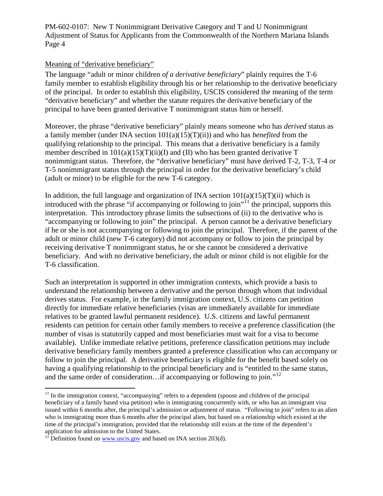#### Meaning of "derivative beneficiary"

The language "adult or minor children *of a derivative beneficiary*" plainly requires the T-6 family member to establish eligibility through his or her relationship to the derivative beneficiary of the principal. In order to establish this eligibility, USCIS considered the meaning of the term "derivative beneficiary" and whether the statute requires the derivative beneficiary of the principal to have been granted derivative T nonimmigrant status him or herself.

Moreover, the phrase "derivative beneficiary" plainly means someone who has *derived* status as a family member (under INA section 101(a)(15)(T)(ii)) and who has *benefited* from the qualifying relationship to the principal. This means that a derivative beneficiary is a family member described in  $101(a)(15)(T)(ii)(I)$  and (II) who has been granted derivative T nonimmigrant status. Therefore, the "derivative beneficiary" must have derived T-2, T-3, T-4 or T-5 nonimmigrant status through the principal in order for the derivative beneficiary's child (adult or minor) to be eligible for the new T-6 category.

In addition, the full language and organization of INA section  $101(a)(15)(T)(ii)$  which is introduced with the phrase "if accompanying or following to join"<sup>[11](#page-3-0)</sup> the principal, supports this interpretation. This introductory phrase limits the subsections of (ii) to the derivative who is "accompanying or following to join" the principal. A person cannot be a derivative beneficiary if he or she is not accompanying or following to join the principal. Therefore, if the parent of the adult or minor child (new T-6 category) did not accompany or follow to join the principal by receiving derivative T nonimmigrant status, he or she cannot be considered a derivative beneficiary. And with no derivative beneficiary, the adult or minor child is not eligible for the T-6 classification.

Such an interpretation is supported in other immigration contexts, which provide a basis to understand the relationship between a derivative and the person through whom that individual derives status. For example, in the family immigration context, U.S. citizens can petition directly for immediate relative beneficiaries (visas are immediately available for immediate relatives to be granted lawful permanent residence). U.S. citizens and lawful permanent residents can petition for certain other family members to receive a preference classification (the number of visas is statutorily capped and most beneficiaries must wait for a visa to become available). Unlike immediate relative petitions, preference classification petitions may include derivative beneficiary family members granted a preference classification who can accompany or follow to join the principal. A derivative beneficiary is eligible for the benefit based solely on having a qualifying relationship to the principal beneficiary and is "entitled to the same status, and the same order of consideration...if accompanying or following to join."<sup>[12](#page-3-1)</sup>

<span id="page-3-0"></span> $11$  In the immigration context, "accompanying" refers to a dependent (spouse and children of the principal beneficiary of a family based visa petition) who is immigrating concurrently with, or who has an immigrant visa issued within 6 months after, the principal's admission or adjustment of status. "Following to join" refers to an alien who is immigrating more than 6 months after the principal alien, but based on a relationship which existed at the time of the principal's immigration, provided that the relationship still exists at the time of the dependent's application for admission to the United States.  $12$  Definition found on <u>[www.uscis.gov](http://www.uscis.gov/)</u> and based on INA section 203(d).

<span id="page-3-1"></span>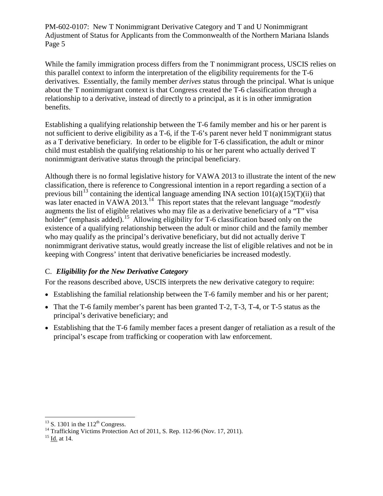While the family immigration process differs from the T nonimmigrant process, USCIS relies on this parallel context to inform the interpretation of the eligibility requirements for the T-6 derivatives. Essentially, the family member *derives* status through the principal. What is unique about the T nonimmigrant context is that Congress created the T-6 classification through a relationship to a derivative, instead of directly to a principal, as it is in other immigration benefits.

Establishing a qualifying relationship between the T-6 family member and his or her parent is not sufficient to derive eligibility as a T-6, if the T-6's parent never held T nonimmigrant status as a T derivative beneficiary. In order to be eligible for T-6 classification, the adult or minor child must establish the qualifying relationship to his or her parent who actually derived T nonimmigrant derivative status through the principal beneficiary.

Although there is no formal legislative history for VAWA 2013 to illustrate the intent of the new classification, there is reference to Congressional intention in a report regarding a section of a previous bill<sup>[13](#page-4-0)</sup> containing the identical language amending INA section  $101(a)(15)(T)(ii)$  that was later enacted in VAWA 2013.[14](#page-4-1) This report states that the relevant language "*modestly* augments the list of eligible relatives who may file as a derivative beneficiary of a "T" visa holder" (emphasis added).<sup>[15](#page-4-2)</sup> Allowing eligibility for T-6 classification based only on the existence of a qualifying relationship between the adult or minor child and the family member who may qualify as the principal's derivative beneficiary, but did not actually derive T nonimmigrant derivative status, would greatly increase the list of eligible relatives and not be in keeping with Congress' intent that derivative beneficiaries be increased modestly.

# C. *Eligibility for the New Derivative Category*

For the reasons described above, USCIS interprets the new derivative category to require:

- Establishing the familial relationship between the T-6 family member and his or her parent;
- That the T-6 family member's parent has been granted T-2, T-3, T-4, or T-5 status as the principal's derivative beneficiary; and
- Establishing that the T-6 family member faces a present danger of retaliation as a result of the principal's escape from trafficking or cooperation with law enforcement.

<span id="page-4-1"></span><span id="page-4-0"></span><sup>&</sup>lt;sup>13</sup> S. 1301 in the 112<sup>th</sup> Congress.<br><sup>14</sup> Trafficking Victims Protection Act of 2011, S. Rep. 112-96 (Nov. 17, 2011).<br><sup>15</sup> Id. at 14.

<span id="page-4-2"></span>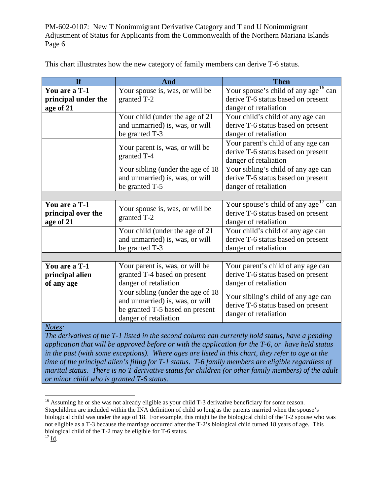| <b>If</b>           | And                                                                                                     | <b>Then</b>                                                               |  |
|---------------------|---------------------------------------------------------------------------------------------------------|---------------------------------------------------------------------------|--|
| You are a T-1       | Your spouse is, was, or will be                                                                         | Your spouse's child of any age <sup>16</sup> can                          |  |
| principal under the | granted T-2                                                                                             | derive T-6 status based on present                                        |  |
| age of 21           |                                                                                                         | danger of retaliation                                                     |  |
|                     | Your child (under the age of 21                                                                         | Your child's child of any age can                                         |  |
|                     | and unmarried) is, was, or will                                                                         | derive T-6 status based on present                                        |  |
|                     | be granted T-3                                                                                          | danger of retaliation                                                     |  |
|                     |                                                                                                         | Your parent's child of any age can                                        |  |
|                     | Your parent is, was, or will be                                                                         | derive T-6 status based on present                                        |  |
|                     | granted T-4                                                                                             | danger of retaliation                                                     |  |
|                     | Your sibling (under the age of 18                                                                       | Your sibling's child of any age can                                       |  |
|                     | and unmarried) is, was, or will                                                                         | derive T-6 status based on present                                        |  |
|                     | be granted T-5                                                                                          | danger of retaliation                                                     |  |
|                     |                                                                                                         |                                                                           |  |
| You are a T-1       | Your spouse is, was, or will be<br>granted T-2                                                          | Your spouse's child of any age <sup>17</sup> can                          |  |
| principal over the  |                                                                                                         | derive T-6 status based on present                                        |  |
| age of 21           |                                                                                                         | danger of retaliation                                                     |  |
|                     | Your child (under the age of 21                                                                         | Your child's child of any age can                                         |  |
|                     | and unmarried) is, was, or will                                                                         | derive T-6 status based on present                                        |  |
|                     | be granted T-3                                                                                          | danger of retaliation                                                     |  |
|                     |                                                                                                         |                                                                           |  |
| You are a T-1       | Your parent is, was, or will be                                                                         | Your parent's child of any age can                                        |  |
| principal alien     | granted T-4 based on present                                                                            | derive T-6 status based on present                                        |  |
| of any age          | danger of retaliation                                                                                   | danger of retaliation                                                     |  |
|                     | Your sibling (under the age of 18<br>and unmarried) is, was, or will<br>be granted T-5 based on present |                                                                           |  |
|                     |                                                                                                         | Your sibling's child of any age can<br>derive T-6 status based on present |  |
|                     |                                                                                                         |                                                                           |  |
|                     | danger of retaliation                                                                                   | danger of retaliation                                                     |  |
| Notes:              |                                                                                                         |                                                                           |  |

This chart illustrates how the new category of family members can derive T-6 status.

*The derivatives of the T-1 listed in the second column can currently hold status, have a pending application that will be approved before or with the application for the T-6, or have held status in the past (with some exceptions). Where ages are listed in this chart, they refer to age at the time of the principal alien's filing for T-1 status*. *T-6 family members are eligible regardless of marital status. There is no T derivative status for children (or other family members) of the adult or minor child who is granted T-6 status.*

<span id="page-5-1"></span><span id="page-5-0"></span><sup>&</sup>lt;sup>16</sup> Assuming he or she was not already eligible as your child T-3 derivative beneficiary for some reason. Stepchildren are included within the INA definition of child so long as the parents married when the spouse's biological child was under the age of 18. For example, this might be the biological child of the T-2 spouse who was not eligible as a T-3 because the marriage occurred after the T-2's biological child turned 18 years of age. This biological child of the T-2 may be eligible for T-6 status. 17 Id.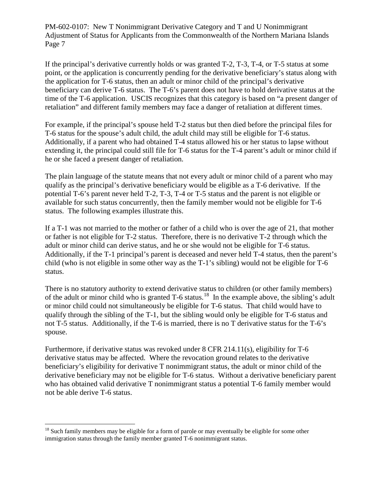If the principal's derivative currently holds or was granted T-2, T-3, T-4, or T-5 status at some point, or the application is concurrently pending for the derivative beneficiary's status along with the application for T-6 status, then an adult or minor child of the principal's derivative beneficiary can derive T-6 status. The T-6's parent does not have to hold derivative status at the time of the T-6 application. USCIS recognizes that this category is based on "a present danger of retaliation" and different family members may face a danger of retaliation at different times.

For example, if the principal's spouse held T-2 status but then died before the principal files for T-6 status for the spouse's adult child, the adult child may still be eligible for T-6 status. Additionally, if a parent who had obtained T-4 status allowed his or her status to lapse without extending it, the principal could still file for T-6 status for the T-4 parent's adult or minor child if he or she faced a present danger of retaliation.

The plain language of the statute means that not every adult or minor child of a parent who may qualify as the principal's derivative beneficiary would be eligible as a T-6 derivative. If the potential T-6's parent never held T-2, T-3, T-4 or T-5 status and the parent is not eligible or available for such status concurrently, then the family member would not be eligible for T-6 status. The following examples illustrate this.

If a T-1 was not married to the mother or father of a child who is over the age of 21, that mother or father is not eligible for T-2 status. Therefore, there is no derivative T-2 through which the adult or minor child can derive status, and he or she would not be eligible for T-6 status. Additionally, if the T-1 principal's parent is deceased and never held T-4 status, then the parent's child (who is not eligible in some other way as the T-1's sibling) would not be eligible for T-6 status.

There is no statutory authority to extend derivative status to children (or other family members) of the adult or minor child who is granted T-6 status.<sup>[18](#page-6-0)</sup> In the example above, the sibling's adult or minor child could not simultaneously be eligible for T-6 status. That child would have to qualify through the sibling of the T-1, but the sibling would only be eligible for T-6 status and not T-5 status. Additionally, if the T-6 is married, there is no T derivative status for the T-6's spouse.

Furthermore, if derivative status was revoked under 8 CFR 214.11(s), eligibility for T-6 derivative status may be affected. Where the revocation ground relates to the derivative beneficiary's eligibility for derivative T nonimmigrant status, the adult or minor child of the derivative beneficiary may not be eligible for T-6 status. Without a derivative beneficiary parent who has obtained valid derivative T nonimmigrant status a potential T-6 family member would not be able derive T-6 status.

<span id="page-6-0"></span><sup>&</sup>lt;sup>18</sup> Such family members may be eligible for a form of parole or may eventually be eligible for some other immigration status through the family member granted T-6 nonimmigrant status.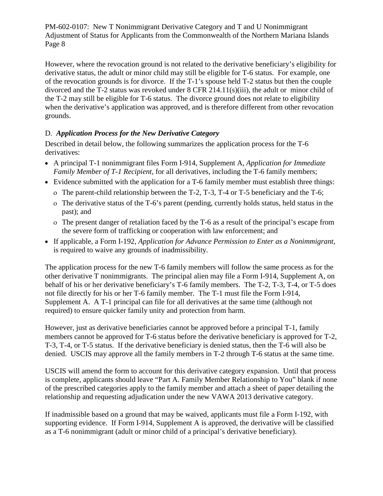However, where the revocation ground is not related to the derivative beneficiary's eligibility for derivative status, the adult or minor child may still be eligible for T-6 status. For example, one of the revocation grounds is for divorce. If the T-1's spouse held T-2 status but then the couple divorced and the T-2 status was revoked under 8 CFR 214.11(s)(iii), the adult or minor child of the T-2 may still be eligible for T-6 status. The divorce ground does not relate to eligibility when the derivative's application was approved, and is therefore different from other revocation grounds.

# D. *Application Process for the New Derivative Category*

Described in detail below, the following summarizes the application process for the T-6 derivatives:

- A principal T-1 nonimmigrant files Form I-914, Supplement A, *Application for Immediate Family Member of T-1 Recipient*, for all derivatives, including the T-6 family members;
- Evidence submitted with the application for a T-6 family member must establish three things:
	- ο The parent-child relationship between the T-2, T-3, T-4 or T-5 beneficiary and the T-6;
	- ο The derivative status of the T-6's parent (pending, currently holds status, held status in the past); and
	- ο The present danger of retaliation faced by the T-6 as a result of the principal's escape from the severe form of trafficking or cooperation with law enforcement; and
- If applicable, a Form I-192, *Application for Advance Permission to Enter as a Nonimmigrant*, is required to waive any grounds of inadmissibility.

The application process for the new T-6 family members will follow the same process as for the other derivative T nonimmigrants. The principal alien may file a Form I-914, Supplement A, on behalf of his or her derivative beneficiary's T-6 family members. The T-2, T-3, T-4, or T-5 does not file directly for his or her T-6 family member. The T-1 must file the Form I-914, Supplement A. A T-1 principal can file for all derivatives at the same time (although not required) to ensure quicker family unity and protection from harm.

However, just as derivative beneficiaries cannot be approved before a principal T-1, family members cannot be approved for T-6 status before the derivative beneficiary is approved for T-2, T-3, T-4, or T-5 status. If the derivative beneficiary is denied status, then the T-6 will also be denied. USCIS may approve all the family members in T-2 through T-6 status at the same time.

USCIS will amend the form to account for this derivative category expansion. Until that process is complete, applicants should leave "Part A. Family Member Relationship to You" blank if none of the prescribed categories apply to the family member and attach a sheet of paper detailing the relationship and requesting adjudication under the new VAWA 2013 derivative category.

If inadmissible based on a ground that may be waived, applicants must file a Form I-192, with supporting evidence. If Form I-914, Supplement A is approved, the derivative will be classified as a T-6 nonimmigrant (adult or minor child of a principal's derivative beneficiary).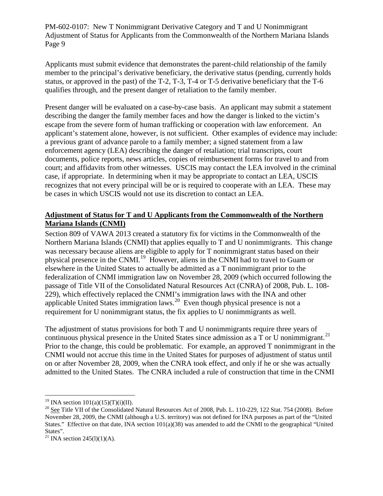Applicants must submit evidence that demonstrates the parent-child relationship of the family member to the principal's derivative beneficiary, the derivative status (pending, currently holds status, or approved in the past) of the T-2, T-3, T-4 or T-5 derivative beneficiary that the T-6 qualifies through, and the present danger of retaliation to the family member.

Present danger will be evaluated on a case-by-case basis. An applicant may submit a statement describing the danger the family member faces and how the danger is linked to the victim's escape from the severe form of human trafficking or cooperation with law enforcement. An applicant's statement alone, however, is not sufficient. Other examples of evidence may include: a previous grant of advance parole to a family member; a signed statement from a law enforcement agency (LEA) describing the danger of retaliation; trial transcripts, court documents, police reports, news articles, copies of reimbursement forms for travel to and from court; and affidavits from other witnesses. USCIS may contact the LEA involved in the criminal case, if appropriate. In determining when it may be appropriate to contact an LEA, USCIS recognizes that not every principal will be or is required to cooperate with an LEA. These may be cases in which USCIS would not use its discretion to contact an LEA.

## **Adjustment of Status for T and U Applicants from the Commonwealth of the Northern Mariana Islands (CNMI)**

Section 809 of VAWA 2013 created a statutory fix for victims in the Commonwealth of the Northern Mariana Islands (CNMI) that applies equally to T and U nonimmigrants. This change was necessary because aliens are eligible to apply for T nonimmigrant status based on their physical presence in the CNMI.[19](#page-8-0) However, aliens in the CNMI had to travel to Guam or elsewhere in the United States to actually be admitted as a T nonimmigrant prior to the federalization of CNMI immigration law on November 28, 2009 (which occurred following the passage of Title VII of the Consolidated Natural Resources Act (CNRA) of 2008, Pub. L. 108- 229), which effectively replaced the CNMI's immigration laws with the INA and other applicable United States immigration laws.<sup>20</sup> Even though physical presence is not a requirement for U nonimmigrant status, the fix applies to U nonimmigrants as well.

The adjustment of status provisions for both T and U nonimmigrants require three years of continuous physical presence in the United States since admission as a  $T$  or U nonimmigrant.<sup>[21](#page-8-2)</sup> Prior to the change, this could be problematic. For example, an approved T nonimmigrant in the CNMI would not accrue this time in the United States for purposes of adjustment of status until on or after November 28, 2009, when the CNRA took effect, and only if he or she was actually admitted to the United States. The CNRA included a rule of construction that time in the CNMI

<span id="page-8-1"></span><span id="page-8-0"></span><sup>&</sup>lt;sup>19</sup> INA section 101(a)(15)(T)(i)(II).<br><sup>20</sup> See Title VII of the Consolidated Natural Resources Act of 2008, Pub. L. 110-229, 122 Stat. 754 (2008). Before November 28, 2009, the CNMI (although a U.S. territory) was not defined for INA purposes as part of the "United States." Effective on that date, INA section 101(a)(38) was amended to add the CNMI to the geographical "United States".

<span id="page-8-2"></span><sup>&</sup>lt;sup>21</sup> INA section 245(l)(1)(A).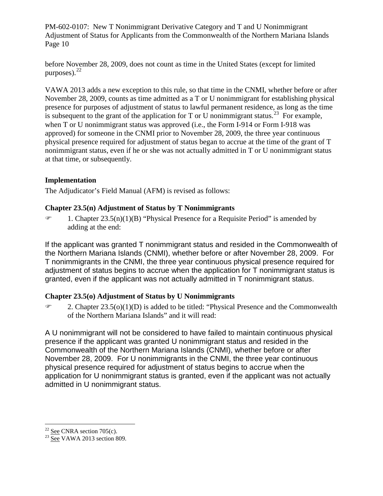before November 28, 2009, does not count as time in the United States (except for limited purposes). $^{22}$  $^{22}$  $^{22}$ 

VAWA 2013 adds a new exception to this rule, so that time in the CNMI, whether before or after November 28, 2009, counts as time admitted as a T or U nonimmigrant for establishing physical presence for purposes of adjustment of status to lawful permanent residence, as long as the time is subsequent to the grant of the application for T or U nonimmigrant status.<sup>[23](#page-9-1)</sup> For example, when T or U nonimmigrant status was approved (i.e., the Form I-914 or Form I-918 was approved) for someone in the CNMI prior to November 28, 2009, the three year continuous physical presence required for adjustment of status began to accrue at the time of the grant of T nonimmigrant status, even if he or she was not actually admitted in T or U nonimmigrant status at that time, or subsequently.

## **Implementation**

The Adjudicator's Field Manual (AFM) is revised as follows:

## **Chapter 23.5(n) Adjustment of Status by T Nonimmigrants**

 $\mathcal{F}$  1. Chapter 23.5(n)(1)(B) "Physical Presence for a Requisite Period" is amended by adding at the end:

If the applicant was granted T nonimmigrant status and resided in the Commonwealth of the Northern Mariana Islands (CNMI), whether before or after November 28, 2009. For T nonimmigrants in the CNMI, the three year continuous physical presence required for adjustment of status begins to accrue when the application for T nonimmigrant status is granted, even if the applicant was not actually admitted in T nonimmigrant status.

# **Chapter 23.5(o) Adjustment of Status by U Nonimmigrants**

 $\mathcal{F}$  2. Chapter 23.5(o)(1)(D) is added to be titled: "Physical Presence and the Commonwealth of the Northern Mariana Islands" and it will read:

A U nonimmigrant will not be considered to have failed to maintain continuous physical presence if the applicant was granted U nonimmigrant status and resided in the Commonwealth of the Northern Mariana Islands (CNMI), whether before or after November 28, 2009. For U nonimmigrants in the CNMI, the three year continuous physical presence required for adjustment of status begins to accrue when the application for U nonimmigrant status is granted, even if the applicant was not actually admitted in U nonimmigrant status.

<span id="page-9-1"></span><span id="page-9-0"></span> $\frac{^{22}}{^{23}}\frac{\text{See}}{\text{See}}$  CNRA section 705(c).<br> $\frac{^{22}}{^{23}}\frac{\text{See}}{\text{VAWA}}$  2013 section 809.